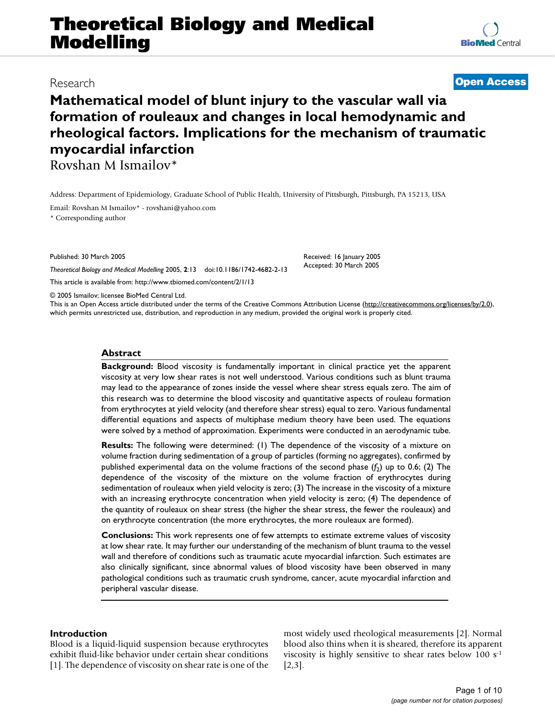# **Theoretical Biology and Medical Modelling**

## **Mathematical model of blunt injury to the vascular wall via formation of rouleaux and changes in local hemodynamic and rheological factors. Implications for the mechanism of traumatic myocardial infarction**

Rovshan M Ismailov\*

Address: Department of Epidemiology, Graduate School of Public Health, University of Pittsburgh, Pittsburgh, PA 15213, USA

Email: Rovshan M Ismailov\* - rovshani@yahoo.com

\* Corresponding author

Published: 30 March 2005

*Theoretical Biology and Medical Modelling* 2005, **2**:13 doi:10.1186/1742-4682-2-13

[This article is available from: http://www.tbiomed.com/content/2/1/13](http://www.tbiomed.com/content/2/1/13)

© 2005 Ismailov; licensee BioMed Central Ltd.

This is an Open Access article distributed under the terms of the Creative Commons Attribution License [\(http://creativecommons.org/licenses/by/2.0\)](http://creativecommons.org/licenses/by/2.0), which permits unrestricted use, distribution, and reproduction in any medium, provided the original work is properly cited.

#### **Abstract**

**Background:** Blood viscosity is fundamentally important in clinical practice yet the apparent viscosity at very low shear rates is not well understood. Various conditions such as blunt trauma may lead to the appearance of zones inside the vessel where shear stress equals zero. The aim of this research was to determine the blood viscosity and quantitative aspects of rouleau formation from erythrocytes at yield velocity (and therefore shear stress) equal to zero. Various fundamental differential equations and aspects of multiphase medium theory have been used. The equations were solved by a method of approximation. Experiments were conducted in an aerodynamic tube.

**Results:** The following were determined: (1) The dependence of the viscosity of a mixture on volume fraction during sedimentation of a group of particles (forming no aggregates), confirmed by published experimental data on the volume fractions of the second phase  $(f_2)$  up to 0.6; (2) The dependence of the viscosity of the mixture on the volume fraction of erythrocytes during sedimentation of rouleaux when yield velocity is zero; (3) The increase in the viscosity of a mixture with an increasing erythrocyte concentration when yield velocity is zero; (4) The dependence of the quantity of rouleaux on shear stress (the higher the shear stress, the fewer the rouleaux) and on erythrocyte concentration (the more erythrocytes, the more rouleaux are formed).

**Conclusions:** This work represents one of few attempts to estimate extreme values of viscosity at low shear rate. It may further our understanding of the mechanism of blunt trauma to the vessel wall and therefore of conditions such as traumatic acute myocardial infarction. Such estimates are also clinically significant, since abnormal values of blood viscosity have been observed in many pathological conditions such as traumatic crush syndrome, cancer, acute myocardial infarction and peripheral vascular disease.

### **Introduction**

Blood is a liquid-liquid suspension because erythrocytes exhibit fluid-like behavior under certain shear conditions [1]. The dependence of viscosity on shear rate is one of the most widely used rheological measurements [2]. Normal blood also thins when it is sheared, therefore its apparent viscosity is highly sensitive to shear rates below 100 s-1 [2,3].



### Research **[Open Access](http://www.biomedcentral.com/info/about/charter/)**

Received: 16 January 2005 Accepted: 30 March 2005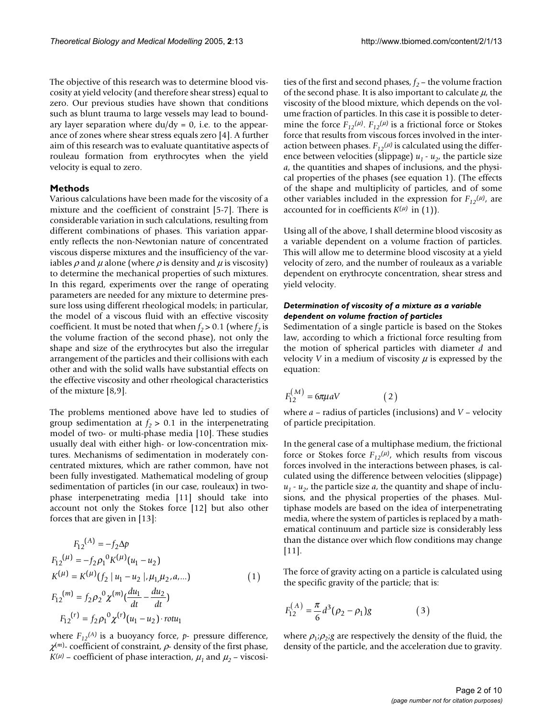The objective of this research was to determine blood viscosity at yield velocity (and therefore shear stress) equal to zero. Our previous studies have shown that conditions such as blunt trauma to large vessels may lead to boundary layer separation where  $du/dy = 0$ , i.e. to the appearance of zones where shear stress equals zero [4]. A further aim of this research was to evaluate quantitative aspects of rouleau formation from erythrocytes when the yield velocity is equal to zero.

#### **Methods**

Various calculations have been made for the viscosity of a mixture and the coefficient of constraint [5-7]. There is considerable variation in such calculations, resulting from different combinations of phases. This variation apparently reflects the non-Newtonian nature of concentrated viscous disperse mixtures and the insufficiency of the variables  $\rho$  and  $\mu$  alone (where  $\rho$  is density and  $\mu$  is viscosity) to determine the mechanical properties of such mixtures. In this regard, experiments over the range of operating parameters are needed for any mixture to determine pressure loss using different rheological models; in particular, the model of a viscous fluid with an effective viscosity coefficient. It must be noted that when  $f_2 > 0.1$  (where  $f_2$  is the volume fraction of the second phase), not only the shape and size of the erythrocytes but also the irregular arrangement of the particles and their collisions with each other and with the solid walls have substantial effects on the effective viscosity and other rheological characteristics of the mixture [8,9].

The problems mentioned above have led to studies of group sedimentation at  $f_2 > 0.1$  in the interpenetrating model of two- or multi-phase media [10]. These studies usually deal with either high- or low-concentration mixtures. Mechanisms of sedimentation in moderately concentrated mixtures, which are rather common, have not been fully investigated. Mathematical modeling of group sedimentation of particles (in our case, rouleaux) in twophase interpenetrating media [11] should take into account not only the Stokes force [12] but also other forces that are given in [13]:

$$
F_{12}^{(A)} = -f_2 \Delta p
$$
  
\n
$$
F_{12}^{(\mu)} = -f_2 \rho_1^0 K^{(\mu)}(u_1 - u_2)
$$
  
\n
$$
K^{(\mu)} = K^{(\mu)}(f_2 \mid u_1 - u_2 \mid, \mu_1, \mu_2, a, ...)
$$
  
\n
$$
F_{12}^{(m)} = f_2 \rho_2^0 \chi^{(m)}(\frac{du_1}{dt} - \frac{du_2}{dt})
$$
  
\n
$$
F_{12}^{(r)} = f_2 \rho_1^0 \chi^{(r)}(u_1 - u_2) \cdot rotu_1
$$
\n(1)

where  $F_{12}^{(A)}$  is a buoyancy force, p- pressure difference,  $\chi^{(m)}$ - coefficient of constraint,  $\rho$ - density of the first phase,  $K^{(\mu)}$  – coefficient of phase interaction,  $\mu_1$  and  $\mu_2$  – viscosities of the first and second phases,  $f_2$  – the volume fraction of the second phase. It is also important to calculate  $\mu$ , the viscosity of the blood mixture, which depends on the volume fraction of particles. In this case it is possible to determine the force  $F_{12}(\mu)$ .  $F_{12}(\mu)$  is a frictional force or Stokes force that results from viscous forces involved in the interaction between phases.  $F_{12}(\mu)$  is calculated using the difference between velocities (slippage)  $u_1 - u_2$ , the particle size *a*, the quantities and shapes of inclusions, and the physical properties of the phases (see equation 1). (The effects of the shape and multiplicity of particles, and of some other variables included in the expression for  $F_{12}(\mu)$ , are accounted for in coefficients  $K^{(\mu)}$  in (1)).

Using all of the above, I shall determine blood viscosity as a variable dependent on a volume fraction of particles. This will allow me to determine blood viscosity at a yield velocity of zero, and the number of rouleaux as a variable dependent on erythrocyte concentration, shear stress and yield velocity.

#### *Determination of viscosity of a mixture as a variable dependent on volume fraction of particles*

Sedimentation of a single particle is based on the Stokes law, according to which a frictional force resulting from the motion of spherical particles with diameter *d* and velocity *V* in a medium of viscosity  $\mu$  is expressed by the equation:

$$
F_{12}^{(M)} = 6\pi\mu aV \qquad (2)
$$

where *a* – radius of particles (inclusions) and *V* – velocity of particle precipitation.

In the general case of a multiphase medium, the frictional force or Stokes force  $F_{12}(\mu)$ , which results from viscous forces involved in the interactions between phases, is calculated using the difference between velocities (slippage)  $u_1$  -  $u_2$ , the particle size *a*, the quantity and shape of inclusions, and the physical properties of the phases. Multiphase models are based on the idea of interpenetrating media, where the system of particles is replaced by a mathematical continuum and particle size is considerably less than the distance over which flow conditions may change [11].

The force of gravity acting on a particle is calculated using the specific gravity of the particle; that is:

$$
F_{12}^{(A)} = \frac{\pi}{6} d^3 (\rho_2 - \rho_1) g \tag{3}
$$

where  $\rho_1$ ; $\rho_2$ ;*g* are respectively the density of the fluid, the density of the particle, and the acceleration due to gravity.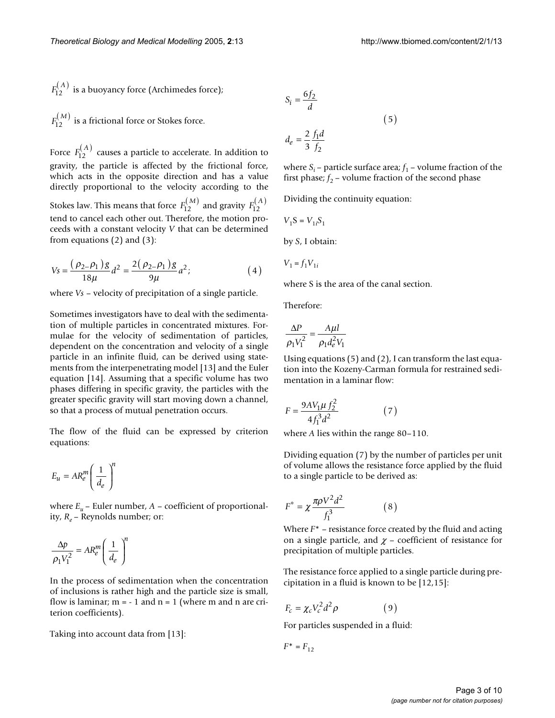$F^{(A)}_{12}$  is a buoyancy force (Archimedes force);  $(A)$ 

 $F^{(M)}_{12}$  is a frictional force or Stokes force.  $(M)$ 

Force  $F_{12}^{(A)}$  causes a particle to accelerate. In addition to gravity, the particle is affected by the frictional force, which acts in the opposite direction and has a value directly proportional to the velocity according to the Stokes law. This means that force  $F_{12}^{(M)}$  and gravity  $F_{12}^{(A)}$ tend to cancel each other out. Therefore, the motion proceeds with a constant velocity *V* that can be determined from equations (2) and (3):  $(A)$  $(A)$ 

$$
V_s = \frac{(\rho_2 - \rho_1)g}{18\mu}d^2 = \frac{2(\rho_2 - \rho_1)g}{9\mu}a^2;
$$
 (4)

where *Vs* – velocity of precipitation of a single particle.

Sometimes investigators have to deal with the sedimentation of multiple particles in concentrated mixtures. Formulae for the velocity of sedimentation of particles, dependent on the concentration and velocity of a single particle in an infinite fluid, can be derived using statements from the interpenetrating model [13] and the Euler equation [14]. Assuming that a specific volume has two phases differing in specific gravity, the particles with the greater specific gravity will start moving down a channel, so that a process of mutual penetration occurs.

The flow of the fluid can be expressed by criterion equations:

$$
E_u = AR_e^m \left( \frac{1}{d_e} \right)^n
$$

where  $E_u$  – Euler number,  $A$  – coefficient of proportionality, *Re* – Reynolds number; or:

$$
\frac{\Delta p}{\rho_1 V_1^2} = AR_e^m \left(\frac{1}{d_e}\right)^n
$$

In the process of sedimentation when the concentration of inclusions is rather high and the particle size is small, flow is laminar;  $m = -1$  and  $n = 1$  (where m and n are criterion coefficients).

Taking into account data from [13]:

$$
S_i = \frac{6f_2}{d}
$$

$$
d_e = \frac{2}{3} \frac{f_1 d}{f_2}
$$

where  $S_i$  – particle surface area;  $f_1$  – volume fraction of the first phase;  $f_2$  – volume fraction of the second phase

 $(5)$ 

Dividing the continuity equation:

$$
V_1S=V_{1i}S_1\\
$$

by *S*, I obtain:

$$
V_1 = f_1 V_{1i}
$$

where S is the area of the canal section.

Therefore:

$$
\frac{\Delta P}{\rho_1 V_1^2} = \frac{A\mu l}{\rho_1 d_e^2 V_1}
$$

Using equations (5) and (2), I can transform the last equation into the Kozeny-Carman formula for restrained sedimentation in a laminar flow:

$$
F = \frac{9AV_1\mu f_2^2}{4f_1^3 d^2} \tag{7}
$$

where *A* lies within the range 80–110.

Dividing equation (7) by the number of particles per unit of volume allows the resistance force applied by the fluid to a single particle to be derived as:

$$
F^* = \chi \frac{\pi \rho V^2 d^2}{f_1^3} \tag{8}
$$

Where *F*\* – resistance force created by the fluid and acting on a single particle, and  $\chi$  – coefficient of resistance for precipitation of multiple particles.

The resistance force applied to a single particle during precipitation in a fluid is known to be [12,15]:

$$
F_c = \chi_c V_c^2 d^2 \rho \tag{9}
$$

For particles suspended in a fluid:

$$
F^*=F_{12}
$$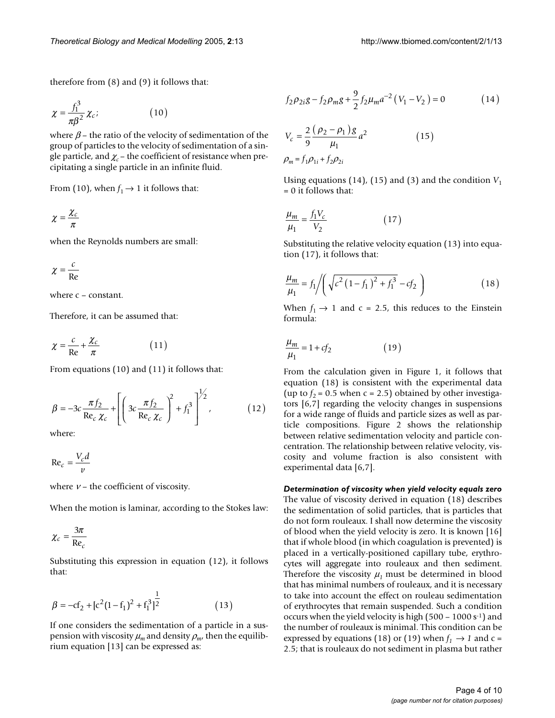therefore from (8) and (9) it follows that:

$$
\chi = \frac{f_1^3}{\pi \beta^2} \chi_c; \tag{10}
$$

where  $\beta$  – the ratio of the velocity of sedimentation of the group of particles to the velocity of sedimentation of a single particle, and  $\chi_c$  – the coefficient of resistance when precipitating a single particle in an infinite fluid.

From (10), when  $f_1 \rightarrow 1$  it follows that:

$$
\chi=\frac{\chi_c}{\pi}
$$

when the Reynolds numbers are small:

$$
\chi = \frac{c}{\text{Re}}
$$

where c – constant.

Therefore, it can be assumed that:

$$
\chi = \frac{c}{\text{Re}} + \frac{\chi_c}{\pi} \tag{11}
$$

From equations (10) and (11) it follows that:

$$
\beta = -3c \frac{\pi f_2}{\text{Re}_c \chi_c} + \left[ \left( 3c \frac{\pi f_2}{\text{Re}_c \chi_c} \right)^2 + f_1^3 \right]^{1/2}, \quad (12)
$$

where:

$$
\text{Re}_c = \frac{V_c d}{v}
$$

where  $v$  – the coefficient of viscosity.

When the motion is laminar, according to the Stokes law:

$$
\chi_c = \frac{3\pi}{\text{Re}_c}
$$

Substituting this expression in equation (12), it follows that:

$$
\beta = -cf_2 + [c^2(1 - f_1)^2 + f_1^3]^{\frac{1}{2}}
$$
\n(13)

If one considers the sedimentation of a particle in a suspension with viscosity  $\mu_m$  and density  $\rho_m$ , then the equilibrium equation [13] can be expressed as:

$$
f_2 \rho_{2i} g - f_2 \rho_m g + \frac{9}{2} f_2 \mu_m a^{-2} (V_1 - V_2) = 0
$$
 (14)

$$
V_c = \frac{2}{9} \frac{(\rho_2 - \rho_1)g}{\mu_1} a^2
$$
 (15)  

$$
\rho_m = f_1 \rho_{1i} + f_2 \rho_{2i}
$$

Using equations (14), (15) and (3) and the condition  $V_1$  $= 0$  it follows that:

$$
\frac{\mu_m}{\mu_1} = \frac{f_1 V_c}{V_2} \tag{17}
$$

Substituting the relative velocity equation (13) into equation (17), it follows that:

$$
\frac{\mu_m}{\mu_1} = f_1 / \left( \sqrt{c^2 \left( 1 - f_1 \right)^2 + f_1^3} - cf_2 \right) \tag{18}
$$

When  $f_1 \rightarrow 1$  and c = 2.5, this reduces to the Einstein formula:

$$
\frac{\mu_m}{\mu_1} = 1 + cf_2 \tag{19}
$$

From the calculation given in Figure [1,](#page-4-0) it follows that equation (18) is consistent with the experimental data (up to  $f_2$  = 0.5 when c = 2.5) obtained by other investigators [6,7] regarding the velocity changes in suspensions for a wide range of fluids and particle sizes as well as particle compositions. Figure [2](#page-4-1) shows the relationship between relative sedimentation velocity and particle concentration. The relationship between relative velocity, viscosity and volume fraction is also consistent with experimental data [6,7].

*Determination of viscosity when yield velocity equals zero* The value of viscosity derived in equation (18) describes the sedimentation of solid particles, that is particles that do not form rouleaux. I shall now determine the viscosity of blood when the yield velocity is zero. It is known [16] that if whole blood (in which coagulation is prevented) is placed in a vertically-positioned capillary tube, erythrocytes will aggregate into rouleaux and then sediment. Therefore the viscosity  $\mu_1$  must be determined in blood that has minimal numbers of rouleaux, and it is necessary to take into account the effect on rouleau sedimentation of erythrocytes that remain suspended. Such a condition occurs when the yield velocity is high  $(500 - 1000 s<sup>-1</sup>)$  and the number of rouleaux is minimal. This condition can be expressed by equations (18) or (19) when  $f_1 \rightarrow 1$  and c = 2.5; that is rouleaux do not sediment in plasma but rather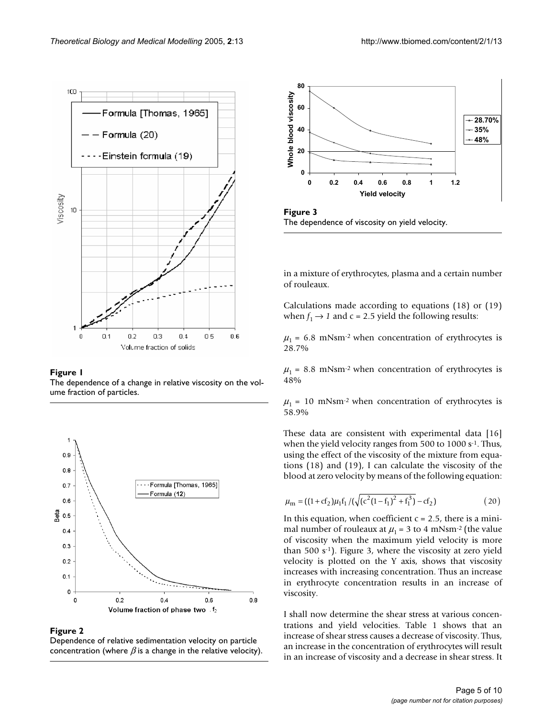<span id="page-4-0"></span>

#### Figure 1

The dependence of a change in relative viscosity on the volume fraction of particles.

<span id="page-4-1"></span>

#### **Figure 2**

Dependence of relative sedimentation velocity on particle concentration (where  $\beta$  is a change in the relative velocity).





in a mixture of erythrocytes, plasma and a certain number of rouleaux.

Calculations made according to equations (18) or (19) when  $f_1 \rightarrow 1$  and c = 2.5 yield the following results:

 $\mu_1$  = 6.8 mNsm<sup>-2</sup> when concentration of erythrocytes is 28.7%

 $\mu_1$  = 8.8 mNsm<sup>-2</sup> when concentration of erythrocytes is 48%

 $\mu_1$  = 10 mNsm<sup>-2</sup> when concentration of erythrocytes is 58.9%

These data are consistent with experimental data [16] when the yield velocity ranges from 500 to 1000  $s<sup>-1</sup>$ . Thus, using the effect of the viscosity of the mixture from equations (18) and (19), I can calculate the viscosity of the blood at zero velocity by means of the following equation:

$$
\mu_{\rm m} = \left( (1 + cf_2)\mu_1 f_1 / (\sqrt{(c^2(1 - f_1)^2 + f_1^3)} - cf_2) \right) \tag{20}
$$

In this equation, when coefficient  $c = 2.5$ , there is a minimal number of rouleaux at  $\mu_1 = 3$  to 4 mNsm<sup>-2</sup> (the value of viscosity when the maximum yield velocity is more than 500  $s<sup>-1</sup>$ ). Figure 3, where the viscosity at zero yield velocity is plotted on the Y axis, shows that viscosity increases with increasing concentration. Thus an increase in erythrocyte concentration results in an increase of viscosity.

I shall now determine the shear stress at various concentrations and yield velocities. Table 1 shows that an increase of shear stress causes a decrease of viscosity. Thus, an increase in the concentration of erythrocytes will result in an increase of viscosity and a decrease in shear stress. It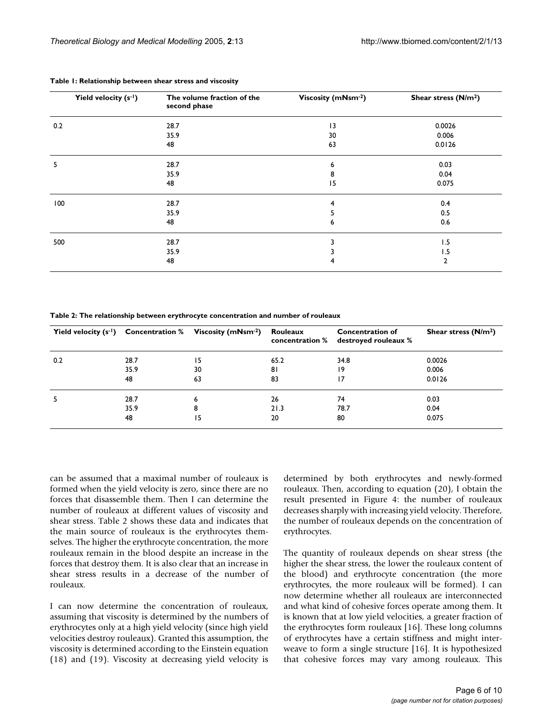| Yield velocity (s-1) | The volume fraction of the<br>second phase | Viscosity (mNsm <sup>-2</sup> ) | Shear stress $(N/m2)$ |  |
|----------------------|--------------------------------------------|---------------------------------|-----------------------|--|
| 0.2                  | 28.7<br>13                                 |                                 | 0.0026                |  |
|                      | 35.9                                       | 30                              | 0.006                 |  |
|                      | 48                                         | 63                              | 0.0126                |  |
| 5                    | 28.7                                       | 6                               | 0.03                  |  |
|                      | 35.9                                       | 8                               | 0.04                  |  |
|                      | 48                                         | 15                              | 0.075                 |  |
| 100                  | 28.7                                       | 4                               | 0.4                   |  |
|                      | 35.9                                       | 5                               | 0.5                   |  |
|                      | 48                                         | 6                               | 0.6                   |  |
| 500                  | 28.7                                       | 3                               | 1.5                   |  |
|                      | 35.9                                       | 3                               | 1.5                   |  |
|                      | 48                                         | 4                               | $\mathbf{2}$          |  |

#### **Table 1: Relationship between shear stress and viscosity**

**Table 2: The relationship between erythrocyte concentration and number of rouleaux**

|     |      | Yield velocity $(s^{-1})$ Concentration % Viscosity (mNsm <sup>-2</sup> ) | Rouleaux<br>concentration % | <b>Concentration of</b><br>destroyed rouleaux % | Shear stress $(N/m2)$ |
|-----|------|---------------------------------------------------------------------------|-----------------------------|-------------------------------------------------|-----------------------|
| 0.2 | 28.7 | 15                                                                        | 65.2                        | 34.8                                            | 0.0026                |
|     | 35.9 | 30                                                                        | 81                          | 19                                              | 0.006                 |
|     | 48   | 63                                                                        | 83                          | 17                                              | 0.0126                |
|     | 28.7 | 6                                                                         | 26                          | 74                                              | 0.03                  |
|     | 35.9 | 8                                                                         | 21.3                        | 78.7                                            | 0.04                  |
|     | 48   | 15                                                                        | 20                          | 80                                              | 0.075                 |

can be assumed that a maximal number of rouleaux is formed when the yield velocity is zero, since there are no forces that disassemble them. Then I can determine the number of rouleaux at different values of viscosity and shear stress. Table 2 shows these data and indicates that the main source of rouleaux is the erythrocytes themselves. The higher the erythrocyte concentration, the more rouleaux remain in the blood despite an increase in the forces that destroy them. It is also clear that an increase in shear stress results in a decrease of the number of rouleaux.

I can now determine the concentration of rouleaux, assuming that viscosity is determined by the numbers of erythrocytes only at a high yield velocity (since high yield velocities destroy rouleaux). Granted this assumption, the viscosity is determined according to the Einstein equation (18) and (19). Viscosity at decreasing yield velocity is determined by both erythrocytes and newly-formed rouleaux. Then, according to equation (20), I obtain the result presented in Figure [4](#page-6-0): the number of rouleaux decreases sharply with increasing yield velocity. Therefore, the number of rouleaux depends on the concentration of erythrocytes.

The quantity of rouleaux depends on shear stress (the higher the shear stress, the lower the rouleaux content of the blood) and erythrocyte concentration (the more erythrocytes, the more rouleaux will be formed). I can now determine whether all rouleaux are interconnected and what kind of cohesive forces operate among them. It is known that at low yield velocities, a greater fraction of the erythrocytes form rouleaux [16]. These long columns of erythrocytes have a certain stiffness and might interweave to form a single structure [16]. It is hypothesized that cohesive forces may vary among rouleaux. This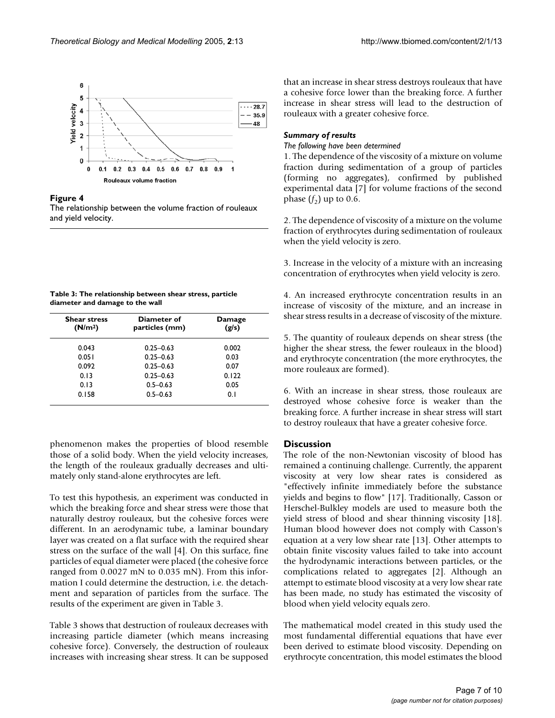<span id="page-6-0"></span>

#### Figure 4

The relationship between the volume fraction of rouleaux and yield velocity.

<span id="page-6-1"></span>**Table 3: The relationship between shear stress, particle diameter and damage to the wall**

| <b>Shear stress</b><br>(N/m <sup>2</sup> ) | Diameter of<br>particles (mm) | Damage<br>(g/s) |  |
|--------------------------------------------|-------------------------------|-----------------|--|
| 0.043                                      | $0.25 - 0.63$                 | 0.002           |  |
| 0.051                                      | $0.25 - 0.63$                 | 0.03            |  |
| 0.092                                      | $0.25 - 0.63$                 | 0.07            |  |
| 0.13                                       | $0.25 - 0.63$                 | 0.122           |  |
| 0.13                                       | $0.5 - 0.63$                  | 0.05            |  |
| 0.158                                      | $0.5 - 0.63$                  | 0.1             |  |

phenomenon makes the properties of blood resemble those of a solid body. When the yield velocity increases, the length of the rouleaux gradually decreases and ultimately only stand-alone erythrocytes are left.

To test this hypothesis, an experiment was conducted in which the breaking force and shear stress were those that naturally destroy rouleaux, but the cohesive forces were different. In an aerodynamic tube, a laminar boundary layer was created on a flat surface with the required shear stress on the surface of the wall [4]. On this surface, fine particles of equal diameter were placed (the cohesive force ranged from 0.0027 mN to 0.035 mN). From this information I could determine the destruction, i.e. the detachment and separation of particles from the surface. The results of the experiment are given in Table [3.](#page-6-1)

Table [3](#page-6-1) shows that destruction of rouleaux decreases with increasing particle diameter (which means increasing cohesive force). Conversely, the destruction of rouleaux increases with increasing shear stress. It can be supposed

that an increase in shear stress destroys rouleaux that have a cohesive force lower than the breaking force. A further increase in shear stress will lead to the destruction of rouleaux with a greater cohesive force.

#### *Summary of results*

#### *The following have been determined*

1. The dependence of the viscosity of a mixture on volume fraction during sedimentation of a group of particles (forming no aggregates), confirmed by published experimental data [7] for volume fractions of the second phase  $(f_2)$  up to 0.6.

2. The dependence of viscosity of a mixture on the volume fraction of erythrocytes during sedimentation of rouleaux when the yield velocity is zero.

3. Increase in the velocity of a mixture with an increasing concentration of erythrocytes when yield velocity is zero.

4. An increased erythrocyte concentration results in an increase of viscosity of the mixture, and an increase in shear stress results in a decrease of viscosity of the mixture.

5. The quantity of rouleaux depends on shear stress (the higher the shear stress, the fewer rouleaux in the blood) and erythrocyte concentration (the more erythrocytes, the more rouleaux are formed).

6. With an increase in shear stress, those rouleaux are destroyed whose cohesive force is weaker than the breaking force. A further increase in shear stress will start to destroy rouleaux that have a greater cohesive force.

#### **Discussion**

The role of the non-Newtonian viscosity of blood has remained a continuing challenge. Currently, the apparent viscosity at very low shear rates is considered as "effectively infinite immediately before the substance yields and begins to flow" [17]. Traditionally, Casson or Herschel-Bulkley models are used to measure both the yield stress of blood and shear thinning viscosity [18]. Human blood however does not comply with Casson's equation at a very low shear rate [13]. Other attempts to obtain finite viscosity values failed to take into account the hydrodynamic interactions between particles, or the complications related to aggregates [2]. Although an attempt to estimate blood viscosity at a very low shear rate has been made, no study has estimated the viscosity of blood when yield velocity equals zero.

The mathematical model created in this study used the most fundamental differential equations that have ever been derived to estimate blood viscosity. Depending on erythrocyte concentration, this model estimates the blood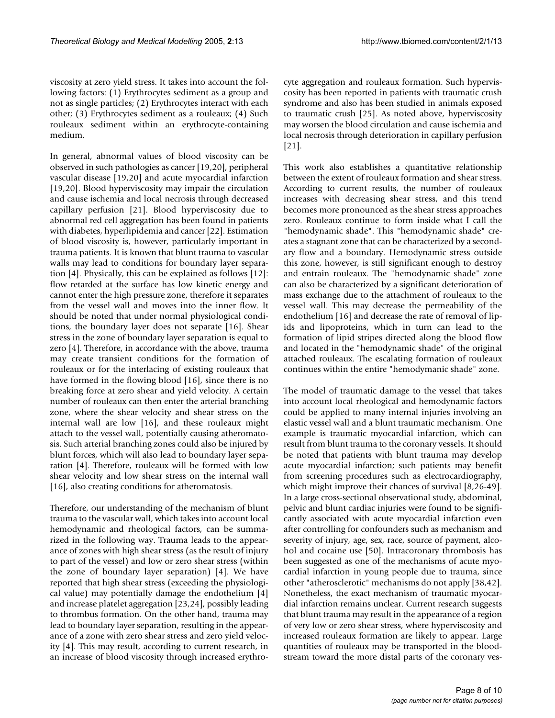viscosity at zero yield stress. It takes into account the following factors: (1) Erythrocytes sediment as a group and not as single particles; (2) Erythrocytes interact with each other; (3) Erythrocytes sediment as a rouleaux; (4) Such rouleaux sediment within an erythrocyte-containing medium.

In general, abnormal values of blood viscosity can be observed in such pathologies as cancer [19,20], peripheral vascular disease [19,20] and acute myocardial infarction [19,20]. Blood hyperviscosity may impair the circulation and cause ischemia and local necrosis through decreased capillary perfusion [21]. Blood hyperviscosity due to abnormal red cell aggregation has been found in patients with diabetes, hyperlipidemia and cancer [22]. Estimation of blood viscosity is, however, particularly important in trauma patients. It is known that blunt trauma to vascular walls may lead to conditions for boundary layer separation [4]. Physically, this can be explained as follows [12]: flow retarded at the surface has low kinetic energy and cannot enter the high pressure zone, therefore it separates from the vessel wall and moves into the inner flow. It should be noted that under normal physiological conditions, the boundary layer does not separate [16]. Shear stress in the zone of boundary layer separation is equal to zero [4]. Therefore, in accordance with the above, trauma may create transient conditions for the formation of rouleaux or for the interlacing of existing rouleaux that have formed in the flowing blood [16], since there is no breaking force at zero shear and yield velocity. A certain number of rouleaux can then enter the arterial branching zone, where the shear velocity and shear stress on the internal wall are low [16], and these rouleaux might attach to the vessel wall, potentially causing atheromatosis. Such arterial branching zones could also be injured by blunt forces, which will also lead to boundary layer separation [4]. Therefore, rouleaux will be formed with low shear velocity and low shear stress on the internal wall [16], also creating conditions for atheromatosis.

Therefore, our understanding of the mechanism of blunt trauma to the vascular wall, which takes into account local hemodynamic and rheological factors, can be summarized in the following way. Trauma leads to the appearance of zones with high shear stress (as the result of injury to part of the vessel) and low or zero shear stress (within the zone of boundary layer separation) [4]. We have reported that high shear stress (exceeding the physiological value) may potentially damage the endothelium [4] and increase platelet aggregation [23,24], possibly leading to thrombus formation. On the other hand, trauma may lead to boundary layer separation, resulting in the appearance of a zone with zero shear stress and zero yield velocity [4]. This may result, according to current research, in an increase of blood viscosity through increased erythrocyte aggregation and rouleaux formation. Such hyperviscosity has been reported in patients with traumatic crush syndrome and also has been studied in animals exposed to traumatic crush [25]. As noted above, hyperviscosity may worsen the blood circulation and cause ischemia and local necrosis through deterioration in capillary perfusion [21].

This work also establishes a quantitative relationship between the extent of rouleaux formation and shear stress. According to current results, the number of rouleaux increases with decreasing shear stress, and this trend becomes more pronounced as the shear stress approaches zero. Rouleaux continue to form inside what I call the "hemodynamic shade". This "hemodynamic shade" creates a stagnant zone that can be characterized by a secondary flow and a boundary. Hemodynamic stress outside this zone, however, is still significant enough to destroy and entrain rouleaux. The "hemodynamic shade" zone can also be characterized by a significant deterioration of mass exchange due to the attachment of rouleaux to the vessel wall. This may decrease the permeability of the endothelium [16] and decrease the rate of removal of lipids and lipoproteins, which in turn can lead to the formation of lipid stripes directed along the blood flow and located in the "hemodynamic shade" of the original attached rouleaux. The escalating formation of rouleaux continues within the entire "hemodymanic shade" zone.

The model of traumatic damage to the vessel that takes into account local rheological and hemodynamic factors could be applied to many internal injuries involving an elastic vessel wall and a blunt traumatic mechanism. One example is traumatic myocardial infarction, which can result from blunt trauma to the coronary vessels. It should be noted that patients with blunt trauma may develop acute myocardial infarction; such patients may benefit from screening procedures such as electrocardiography, which might improve their chances of survival [8,26-49]. In a large cross-sectional observational study, abdominal, pelvic and blunt cardiac injuries were found to be significantly associated with acute myocardial infarction even after controlling for confounders such as mechanism and severity of injury, age, sex, race, source of payment, alcohol and cocaine use [50]. Intracoronary thrombosis has been suggested as one of the mechanisms of acute myocardial infarction in young people due to trauma, since other "atherosclerotic" mechanisms do not apply [38,42]. Nonetheless, the exact mechanism of traumatic myocardial infarction remains unclear. Current research suggests that blunt trauma may result in the appearance of a region of very low or zero shear stress, where hyperviscosity and increased rouleaux formation are likely to appear. Large quantities of rouleaux may be transported in the bloodstream toward the more distal parts of the coronary ves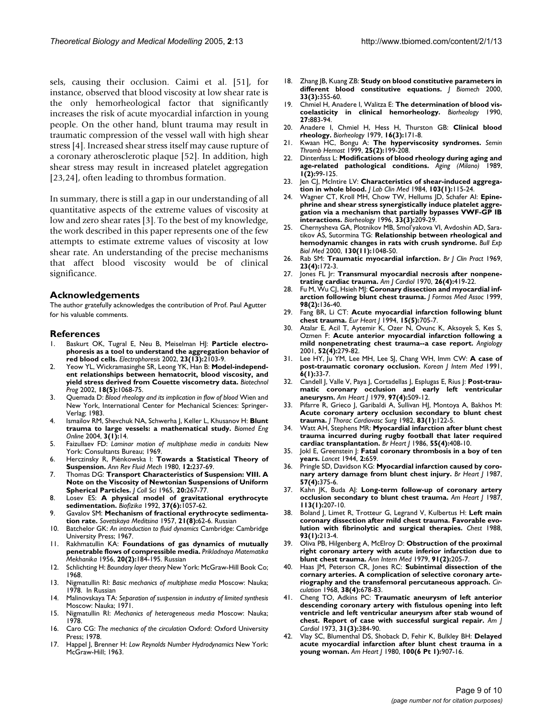sels, causing their occlusion. Caimi et al. [51], for instance, observed that blood viscosity at low shear rate is the only hemorheological factor that significantly increases the risk of acute myocardial infarction in young people. On the other hand, blunt trauma may result in traumatic compression of the vessel wall with high shear stress [4]. Increased shear stress itself may cause rupture of a coronary atherosclerotic plaque [52]. In addition, high shear stress may result in increased platelet aggregation [23,24], often leading to thrombus formation.

In summary, there is still a gap in our understanding of all quantitative aspects of the extreme values of viscosity at low and zero shear rates [3]. To the best of my knowledge, the work described in this paper represents one of the few attempts to estimate extreme values of viscosity at low shear rate. An understanding of the precise mechanisms that affect blood viscosity would be of clinical significance.

#### **Acknowledgements**

The author gratefully acknowledges the contribution of Prof. Paul Agutter for his valuable comments.

#### **References**

- Baskurt OK, Tugral E, Neu B, Meiselman HJ: [Particle electro](http://www.ncbi.nlm.nih.gov/entrez/query.fcgi?cmd=Retrieve&db=PubMed&dopt=Abstract&list_uids=12210265)**[phoresis as a tool to understand the aggregation behavior of](http://www.ncbi.nlm.nih.gov/entrez/query.fcgi?cmd=Retrieve&db=PubMed&dopt=Abstract&list_uids=12210265) [red blood cells.](http://www.ncbi.nlm.nih.gov/entrez/query.fcgi?cmd=Retrieve&db=PubMed&dopt=Abstract&list_uids=12210265)** *Electrophoresis* 2002, **23(13):**2103-9.
- 2. Yeow YL, Wickramasinghe SR, Leong YK, Han B: **[Model-independ](http://www.ncbi.nlm.nih.gov/entrez/query.fcgi?cmd=Retrieve&db=PubMed&dopt=Abstract&list_uids=12363359)[ent relationships between hematocrit, blood viscosity, and](http://www.ncbi.nlm.nih.gov/entrez/query.fcgi?cmd=Retrieve&db=PubMed&dopt=Abstract&list_uids=12363359) [yield stress derived from Couette viscometry data.](http://www.ncbi.nlm.nih.gov/entrez/query.fcgi?cmd=Retrieve&db=PubMed&dopt=Abstract&list_uids=12363359)** *Biotechnol Prog* 2002, **18(5):**1068-75.
- 3. Quemada D: *Blood rheology and its implication in flow of blood* Wien and New York, International Center for Mechanical Sciences: Springer-Verlag; 1983.
- 4. Ismailov RM, Shevchuk NA, Schwerha J, Keller L, Khusanov H: **[Blunt](http://www.ncbi.nlm.nih.gov/entrez/query.fcgi?cmd=Retrieve&db=PubMed&dopt=Abstract&list_uids=15153246) [trauma to large vessels: a mathematical study.](http://www.ncbi.nlm.nih.gov/entrez/query.fcgi?cmd=Retrieve&db=PubMed&dopt=Abstract&list_uids=15153246)** *Biomed Eng Online* 2004, **3(1):**14.
- 5. Faizullaev FD: *Laminar motion of multiphase media in conduits* New York: Consultants Bureau; 1969.
- 6. Herczinsky R, Piénkowska I: **Towards a Statistical Theory of Suspension.** *Ann Rev Fluid Mech* 1980, **12:**237-69.
- 7. Thomas DG: **Transport Characteristics of Suspension: VIII. A Note on the Viscosity of Newtonian Suspensions of Uniform Spherical Particles.** *J Coll Sci* 1965, **20:**267-77.
- 8. Losev ES: **[A physical model of gravitational erythrocyte](http://www.ncbi.nlm.nih.gov/entrez/query.fcgi?cmd=Retrieve&db=PubMed&dopt=Abstract&list_uids=1298346) [sedimentation.](http://www.ncbi.nlm.nih.gov/entrez/query.fcgi?cmd=Retrieve&db=PubMed&dopt=Abstract&list_uids=1298346)** *Biofizika* 1992, **37(6):**1057-62.
- 9. Gavalov SM: **Mechanism of fractional erythrocyte sedimentation rate.** *Sovetskaya Meditsina* 1957, **21(8):**62-6. Russian
- 10. Batchelor GK: *An introduction to fluid dynamics* Cambridge: Cambridge University Press; 1967.
- 11. Rakhmatullin KA: **Foundations of gas dynamics of mutually penetrable flows of compressible media.** *Prikladnaya Matematika Mekhanika* 1956, **20(2):**184-195. Russian
- 12. Schlichting H: *Boundary layer theory* New York: McGraw-Hill Book Co; 1968.
- 13. Nigmatullin RI: *Basic mechanics of multiphase media* Moscow: Nauka; 1978. In Russian
- 14. Malinovskaya TA: *Separation of suspension in industry of limited synthesis* Moscow: Nauka; 1971.
- 15. Nigmatullin RI: *Mechanics of heterogeneous media* Moscow: Nauka; 1978.
- 16. Caro CG: *The mechanics of the circulation* Oxford: Oxford University Press; 1978.
- 17. Happel J, Brenner H: *Low Reynolds Number Hydrodynamics* New York: McGraw-Hill; 1963.
- 18. Zhang JB, Kuang ZB: [Study on blood constitutive parameters in](http://www.ncbi.nlm.nih.gov/entrez/query.fcgi?cmd=Retrieve&db=PubMed&dopt=Abstract&list_uids=10673119) **[different blood constitutive equations.](http://www.ncbi.nlm.nih.gov/entrez/query.fcgi?cmd=Retrieve&db=PubMed&dopt=Abstract&list_uids=10673119)** *J Biomech* 2000, **33(3):**355-60.
- 19. Chmiel H, Anadere I, Walitza E: **[The determination of blood vis](http://www.ncbi.nlm.nih.gov/entrez/query.fcgi?cmd=Retrieve&db=PubMed&dopt=Abstract&list_uids=2093396)[coelasticity in clinical hemorheology.](http://www.ncbi.nlm.nih.gov/entrez/query.fcgi?cmd=Retrieve&db=PubMed&dopt=Abstract&list_uids=2093396)** *Biorheology* 1990, **27:**883-94.
- 20. Anadere I, Chmiel H, Hess H, Thurston GB: **[Clinical blood](http://www.ncbi.nlm.nih.gov/entrez/query.fcgi?cmd=Retrieve&db=PubMed&dopt=Abstract&list_uids=508927) [rheology.](http://www.ncbi.nlm.nih.gov/entrez/query.fcgi?cmd=Retrieve&db=PubMed&dopt=Abstract&list_uids=508927)** *Biorheology* 1979, **16(3):**171-8.
- 21. Kwaan HC, Bongu A: **[The hyperviscosity syndromes.](http://www.ncbi.nlm.nih.gov/entrez/query.fcgi?cmd=Retrieve&db=PubMed&dopt=Abstract&list_uids=10357087)** *Semin Thromb Hemost* 1999, **25(2):**199-208.
- 22. Dintenfass L: **[Modifications of blood rheology during aging and](http://www.ncbi.nlm.nih.gov/entrez/query.fcgi?cmd=Retrieve&db=PubMed&dopt=Abstract&list_uids=2488313) [age-related pathological conditions.](http://www.ncbi.nlm.nih.gov/entrez/query.fcgi?cmd=Retrieve&db=PubMed&dopt=Abstract&list_uids=2488313)** *Aging (Milano)* 1989, **1(2):**99-125.
- 23. Jen CJ, McIntire LV: **[Characteristics of shear-induced aggrega](http://www.ncbi.nlm.nih.gov/entrez/query.fcgi?cmd=Retrieve&db=PubMed&dopt=Abstract&list_uids=6690635)[tion in whole blood.](http://www.ncbi.nlm.nih.gov/entrez/query.fcgi?cmd=Retrieve&db=PubMed&dopt=Abstract&list_uids=6690635)** *J Lab Clin Med* 1984, **103(1):**115-24.
- 24. Wagner CT, Kroll MH, Chow TW, Hellums JD, Schafer AI: **[Epine](http://www.ncbi.nlm.nih.gov/entrez/query.fcgi?cmd=Retrieve&db=PubMed&dopt=Abstract&list_uids=8935180)phrine and shear stress synergistically induce platelet aggre[gation via a mechanism that partially bypasses VWF-GP IB](http://www.ncbi.nlm.nih.gov/entrez/query.fcgi?cmd=Retrieve&db=PubMed&dopt=Abstract&list_uids=8935180) [interactions.](http://www.ncbi.nlm.nih.gov/entrez/query.fcgi?cmd=Retrieve&db=PubMed&dopt=Abstract&list_uids=8935180)** *Biorheology* 1996, **33(3):**209-29.
- 25. Chernysheva GA, Plotnikov MB, Smol'yakova VI, Avdoshin AD, Saratikov AS, Sutormina TG: **[Relationship between rheological and](http://www.ncbi.nlm.nih.gov/entrez/query.fcgi?cmd=Retrieve&db=PubMed&dopt=Abstract&list_uids=11182812) [hemodynamic changes in rats with crush syndrome.](http://www.ncbi.nlm.nih.gov/entrez/query.fcgi?cmd=Retrieve&db=PubMed&dopt=Abstract&list_uids=11182812)** *Bull Exp Biol Med* 2000, **130(11):**1048-50.
- 26. Rab SM: **[Traumatic myocardial infarction.](http://www.ncbi.nlm.nih.gov/entrez/query.fcgi?cmd=Retrieve&db=PubMed&dopt=Abstract&list_uids=5776909)** *Br J Clin Pract* 1969, **23(4):**172-3.
- 27. Jones FL Jr: **[Transmural myocardial necrosis after nonpene](http://www.ncbi.nlm.nih.gov/entrez/query.fcgi?cmd=Retrieve&db=PubMed&dopt=Abstract&list_uids=5474505)[trating cardiac trauma.](http://www.ncbi.nlm.nih.gov/entrez/query.fcgi?cmd=Retrieve&db=PubMed&dopt=Abstract&list_uids=5474505)** *Am J Cardiol* 1970, **26(4):**419-22.
- 28. Fu M, Wu CJ, Hsieh MJ: **[Coronary dissection and myocardial inf](http://www.ncbi.nlm.nih.gov/entrez/query.fcgi?cmd=Retrieve&db=PubMed&dopt=Abstract&list_uids=10083771)[arction following blunt chest trauma.](http://www.ncbi.nlm.nih.gov/entrez/query.fcgi?cmd=Retrieve&db=PubMed&dopt=Abstract&list_uids=10083771)** *J Formos Med Assoc* 1999, **98(2):**136-40.
- 29. Fang BR, Li CT: **[Acute myocardial infarction following blunt](http://www.ncbi.nlm.nih.gov/entrez/query.fcgi?cmd=Retrieve&db=PubMed&dopt=Abstract&list_uids=8056014) [chest trauma.](http://www.ncbi.nlm.nih.gov/entrez/query.fcgi?cmd=Retrieve&db=PubMed&dopt=Abstract&list_uids=8056014)** *Eur Heart J* 1994, **15(5):**705-7.
- 30. Atalar E, Acil T, Aytemir K, Ozer N, Ovunc K, Aksoyek S, Kes S, Ozmen F: **[Acute anterior myocardial infarction following a](http://www.ncbi.nlm.nih.gov/entrez/query.fcgi?cmd=Retrieve&db=PubMed&dopt=Abstract&list_uids=11330511) [mild nonpenetrating chest trauma--a case report.](http://www.ncbi.nlm.nih.gov/entrez/query.fcgi?cmd=Retrieve&db=PubMed&dopt=Abstract&list_uids=11330511)** *Angiology* 2001, **52(4):**279-82.
- 31. Lee HY, Ju YM, Lee MH, Lee SJ, Chang WH, Imm CW: **[A case of](http://www.ncbi.nlm.nih.gov/entrez/query.fcgi?cmd=Retrieve&db=PubMed&dopt=Abstract&list_uids=1742254) [post-traumatic coronary occlusion.](http://www.ncbi.nlm.nih.gov/entrez/query.fcgi?cmd=Retrieve&db=PubMed&dopt=Abstract&list_uids=1742254)** *Korean J Intern Med* 1991, **6(1):**33-7.
- 32. Candell J, Valle V, Paya J, Cortadellas J, Esplugas E, Rius J: **[Post-trau](http://www.ncbi.nlm.nih.gov/entrez/query.fcgi?cmd=Retrieve&db=PubMed&dopt=Abstract&list_uids=154834)[matic coronary occlusion and early left ventricular](http://www.ncbi.nlm.nih.gov/entrez/query.fcgi?cmd=Retrieve&db=PubMed&dopt=Abstract&list_uids=154834) [aneurysm.](http://www.ncbi.nlm.nih.gov/entrez/query.fcgi?cmd=Retrieve&db=PubMed&dopt=Abstract&list_uids=154834)** *Am Heart J* 1979, **97(4):**509-12.
- 33. Pifarre R, Grieco J, Garibaldi A, Sullivan HJ, Montoya A, Bakhos M: **[Acute coronary artery occlusion secondary to blunt chest](http://www.ncbi.nlm.nih.gov/entrez/query.fcgi?cmd=Retrieve&db=PubMed&dopt=Abstract&list_uids=7054607) [trauma.](http://www.ncbi.nlm.nih.gov/entrez/query.fcgi?cmd=Retrieve&db=PubMed&dopt=Abstract&list_uids=7054607)** *J Thorac Cardiovasc Surg* 1982, **83(1):**122-5.
- 34. Watt AH, Stephens MR: **[Myocardial infarction after blunt chest](http://www.ncbi.nlm.nih.gov/entrez/query.fcgi?cmd=Retrieve&db=PubMed&dopt=Abstract&list_uids=3516188) [trauma incurred during rugby football that later required](http://www.ncbi.nlm.nih.gov/entrez/query.fcgi?cmd=Retrieve&db=PubMed&dopt=Abstract&list_uids=3516188) [cardiac transplantation.](http://www.ncbi.nlm.nih.gov/entrez/query.fcgi?cmd=Retrieve&db=PubMed&dopt=Abstract&list_uids=3516188)** *Br Heart J* 1986, **55(4):**408-10.
- 35. Jokl E, Greenstein J: **Fatal coronary thrombosis in a boy of ten years.** *Lancet* 1944, **2:**659.
- 36. Pringle SD, Davidson KG: **[Myocardial infarction caused by coro](http://www.ncbi.nlm.nih.gov/entrez/query.fcgi?cmd=Retrieve&db=PubMed&dopt=Abstract&list_uids=3580225)[nary artery damage from blunt chest injury.](http://www.ncbi.nlm.nih.gov/entrez/query.fcgi?cmd=Retrieve&db=PubMed&dopt=Abstract&list_uids=3580225)** *Br Heart J* 1987, **57(4):**375-6.
- 37. Kahn JK, Buda AJ: **[Long-term follow-up of coronary artery](http://www.ncbi.nlm.nih.gov/entrez/query.fcgi?cmd=Retrieve&db=PubMed&dopt=Abstract&list_uids=3799434) [occlusion secondary to blunt chest trauma.](http://www.ncbi.nlm.nih.gov/entrez/query.fcgi?cmd=Retrieve&db=PubMed&dopt=Abstract&list_uids=3799434)** *Am Heart J* 1987, **113(1):**207-10.
- 38. Boland J, Limet R, Trotteur G, Legrand V, Kulbertus H: **[Left main](http://www.ncbi.nlm.nih.gov/entrez/query.fcgi?cmd=Retrieve&db=PubMed&dopt=Abstract&list_uids=3257183) [coronary dissection after mild chest trauma. Favorable evo](http://www.ncbi.nlm.nih.gov/entrez/query.fcgi?cmd=Retrieve&db=PubMed&dopt=Abstract&list_uids=3257183)[lution with fibrinolytic and surgical therapies.](http://www.ncbi.nlm.nih.gov/entrez/query.fcgi?cmd=Retrieve&db=PubMed&dopt=Abstract&list_uids=3257183)** *Chest* 1988, **93(1):**213-4.
- 39. Oliva PB, Hilgenberg A, McElroy D: **[Obstruction of the proximal](http://www.ncbi.nlm.nih.gov/entrez/query.fcgi?cmd=Retrieve&db=PubMed&dopt=Abstract&list_uids=464463) [right coronary artery with acute inferior infarction due to](http://www.ncbi.nlm.nih.gov/entrez/query.fcgi?cmd=Retrieve&db=PubMed&dopt=Abstract&list_uids=464463) [blunt chest trauma.](http://www.ncbi.nlm.nih.gov/entrez/query.fcgi?cmd=Retrieve&db=PubMed&dopt=Abstract&list_uids=464463)** *Ann Intern Med* 1979, **91(2):**205-7.
- 40. Haas JM, Peterson CR, Jones RC: **[Subintimal dissection of the](http://www.ncbi.nlm.nih.gov/entrez/query.fcgi?cmd=Retrieve&db=PubMed&dopt=Abstract&list_uids=5677952) [cornary arteries. A complication of selective coronary arte](http://www.ncbi.nlm.nih.gov/entrez/query.fcgi?cmd=Retrieve&db=PubMed&dopt=Abstract&list_uids=5677952)[riography and the transfemoral percutaneous approach.](http://www.ncbi.nlm.nih.gov/entrez/query.fcgi?cmd=Retrieve&db=PubMed&dopt=Abstract&list_uids=5677952)** *Circulation* 1968, **38(4):**678-83.
- 41. Cheng TO, Adkins PC: **[Traumatic aneurysm of left anterior](http://www.ncbi.nlm.nih.gov/entrez/query.fcgi?cmd=Retrieve&db=PubMed&dopt=Abstract&list_uids=4687853) [descending coronary artery with fistulous opening into left](http://www.ncbi.nlm.nih.gov/entrez/query.fcgi?cmd=Retrieve&db=PubMed&dopt=Abstract&list_uids=4687853) ventricle and left ventricular aneurysm after stab wound of [chest. Report of case with successful surgical repair.](http://www.ncbi.nlm.nih.gov/entrez/query.fcgi?cmd=Retrieve&db=PubMed&dopt=Abstract&list_uids=4687853)** *Am J Cardiol* 1973, **31(3):**384-90.
- 42. Vlay SC, Blumenthal DS, Shoback D, Fehir K, Bulkley BH: **[Delayed](http://www.ncbi.nlm.nih.gov/entrez/query.fcgi?cmd=Retrieve&db=PubMed&dopt=Abstract&list_uids=7446393) [acute myocardial infarction after blunt chest trauma in a](http://www.ncbi.nlm.nih.gov/entrez/query.fcgi?cmd=Retrieve&db=PubMed&dopt=Abstract&list_uids=7446393) [young woman.](http://www.ncbi.nlm.nih.gov/entrez/query.fcgi?cmd=Retrieve&db=PubMed&dopt=Abstract&list_uids=7446393)** *Am Heart J* 1980, **100(6 Pt 1):**907-16.